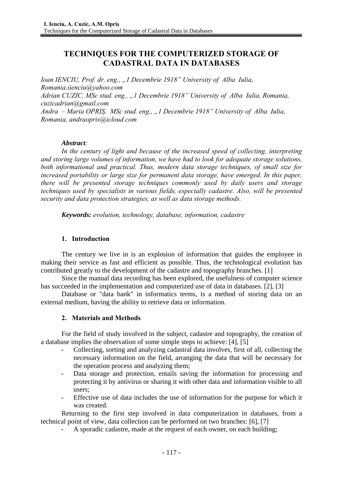# **TECHNIQUES FOR THE COMPUTERIZED STORAGE OF CADASTRAL DATA IN DATABASES**

*Ioan IENCIU, Prof. dr. eng., "1 Decembrie 1918" University of Alba Iulia, Romania,iienciu@yahoo.com Adrian CUZIC, MSc stud. eng., "1 Decembrie 1918" University of Alba Iulia, Romania, cuzicadrian@gmail.com Andra – Maria OPRIȘ, MSc stud. eng., "1 Decembrie 1918" University of Alba Iulia, Romania, andraopris@icloud.com* 

### *Abstract:*

*In the century of light and because of the increased speed of collecting, interpreting and storing large volumes of information, we have had to look for adequate storage solutions, both informational and practical. Thus, modern data storage techniques, of small size for increased portability or large size for permanent data storage, have emerged. In this paper, there will be presented storage techniques commonly used by daily users and storage techniques used by specialists in various fields, especially cadastre. Also, will be presented security and data protection strategies, as well as data storage methods.* 

*Keywords: evolution, technology, database, information, cadastre*

# **1. Introduction**

The century we live in is an explosion of information that guides the employee in making their service as fast and efficient as possible. Thus, the technological evolution has contributed greatly to the development of the cadastre and topography branches. [1]

Since the manual data recording has been explored, the usefulness of computer science has succeeded in the implementation and computerized use of data in databases. [2], [3]

Database or "data bank" in informatics terms, is a method of storing data on an external medium, having the ability to retrieve data or information.

## **2. Materials and Methods**

For the field of study involved in the subject, cadastre and topography, the creation of a database implies the observation of some simple steps to achieve: [4], [5]

- Collecting, sorting and analyzing cadastral data involves, first of all, collecting the necessary information on the field, arranging the data that will be necessary for the operation process and analyzing them;
- Data storage and protection, entails saving the information for processing and protecting it by antivirus or sharing it with other data and information visible to all users;
- Effective use of data includes the use of information for the purpose for which it was created.

Returning to the first step involved in data computerization in databases, from a technical point of view, data collection can be performed on two branches: [6], [7]

- A sporadic cadastre, made at the request of each owner, on each building;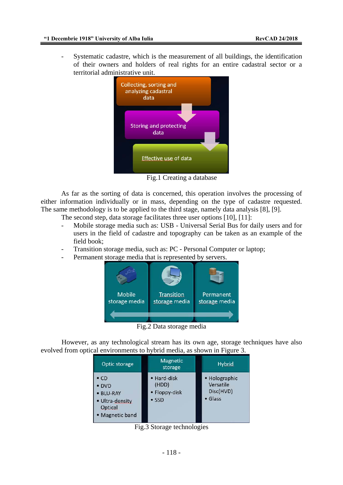Systematic cadastre, which is the measurement of all buildings, the identification of their owners and holders of real rights for an entire cadastral sector or a territorial administrative unit.



Fig.1 Creating a database

As far as the sorting of data is concerned, this operation involves the processing of either information individually or in mass, depending on the type of cadastre requested. The same methodology is to be applied to the third stage, namely data analysis [8], [9].

The second step, data storage facilitates three user options [10], [11]:

- Mobile storage media such as: USB Universal Serial Bus for daily users and for users in the field of cadastre and topography can be taken as an example of the field book;
- Transition storage media, such as: PC Personal Computer or laptop;
- Permanent storage media that is represented by servers.



Fig.2 Data storage media

However, as any technological stream has its own age, storage techniques have also evolved from optical environments to hybrid media, as shown in Figure 3.

| Optic storage                                                                     | <b>Magnetic</b><br>storage                             | <b>Hybrid</b>                                              |
|-----------------------------------------------------------------------------------|--------------------------------------------------------|------------------------------------------------------------|
| $\cdot$ CD<br>• DVD<br>· BLU-RAY<br>· Ultra-density<br>Optical<br>• Magnetic band | • Hard-disk<br>(HDD)<br>• Floppy-disk<br>$\bullet$ SSD | • Holographic<br>Versatile<br>Disc(HVD)<br>$\bullet$ Glass |

Fig.3 Storage technologies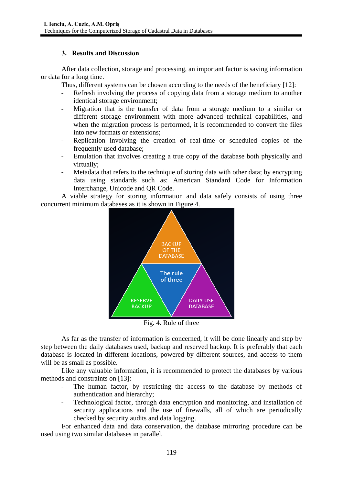### **3. Results and Discussion**

After data collection, storage and processing, an important factor is saving information or data for a long time.

Thus, different systems can be chosen according to the needs of the beneficiary [12]:

- Refresh involving the process of copying data from a storage medium to another identical storage environment;
- Migration that is the transfer of data from a storage medium to a similar or different storage environment with more advanced technical capabilities, and when the migration process is performed, it is recommended to convert the files into new formats or extensions;
- Replication involving the creation of real-time or scheduled copies of the frequently used database;
- Emulation that involves creating a true copy of the database both physically and virtually;
- Metadata that refers to the technique of storing data with other data; by encrypting data using standards such as: American Standard Code for Information Interchange, Unicode and QR Code.

A viable strategy for storing information and data safely consists of using three concurrent minimum databases as it is shown in Figure 4.



As far as the transfer of information is concerned, it will be done linearly and step by step between the daily databases used, backup and reserved backup. It is preferably that each database is located in different locations, powered by different sources, and access to them will be as small as possible.

Like any valuable information, it is recommended to protect the databases by various methods and constraints on [13]:

- The human factor, by restricting the access to the database by methods of authentication and hierarchy;
- Technological factor, through data encryption and monitoring, and installation of security applications and the use of firewalls, all of which are periodically checked by security audits and data logging.

For enhanced data and data conservation, the database mirroring procedure can be used using two similar databases in parallel.